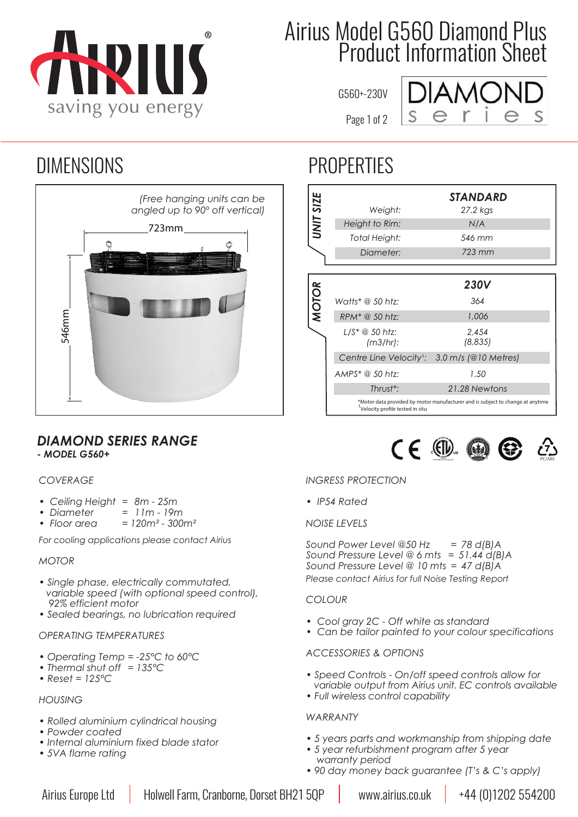

## Airius Model G560 Diamond Plus Product Information Sheet

G560+-230V

Page 1 of 2



### DIMENSIONS PROPERTIES



### *DIAMOND SERIES RANGE - MODEL G560+* **<sup>3164849</sup>**

### *COVERAGE*

- *ï Ceiling Height = 8m 25m*
- *ï Diameter = 11m 19m*
- *ï Floor area = 120m² 300m²*

*For cooling applications please contact Airius*

#### *MOTOR*

- *ï Single phase, electrically commutated, variable speed (with optional speed control), 92% efficient motor*
- *ï Sealed bearings, no lubrication required*

#### *OPERATING TEMPERATURES*

- *ï Operating Temp = -25°C to 60°C*
- *ï Thermal shut off = 135°C*
- *ï Reset = 125°C*

#### *HOUSING*

- *ï Rolled aluminium cylindrical housing*
- *ï Powder coated*
- *ï Internal aluminium fixed blade stator*
- *ï 5VA flame rating*

| UNIT SIZE    | Weight:<br>Height to Rim:<br>Total Height:<br>Diameter:                              | STANDARD<br>27.2 kgs<br>N/A<br>546 mm<br>723 mm                                                         |
|--------------|--------------------------------------------------------------------------------------|---------------------------------------------------------------------------------------------------------|
| <b>MOTOR</b> | Watts* @ 50 htz:<br>RPM <sup>*</sup> @ 50 htz:<br>(m3/hr):<br>Centre Line Velocity': | <b>230V</b><br>364<br>1,006<br>2.454<br>(8,835)<br>3.0 m/s (@10 Metres)                                 |
|              | $AMPS^* \t@ 50 \thtz:$<br>Thrust <sup>*</sup> :<br>Velocity profile tested in situ   | 1.50<br>21.28 Newtons<br>*Motor data provided by motor manufacturer and is subject to change at anytime |



### *INGRESS PROTECTION*

*ï IP54 Rated*

#### *NOISE LEVELS*

*Sound Power Level @50 Hz = 78 d(B)A Sound Pressure Level @ 6 mts = 51.44 d(B)A Sound Pressure Level @ 10 mts = 47 d(B)A Please contact Airius for full Noise Testing Report*

#### *COLOUR*

- *ï Cool gray 2C Off white as standard*
- *ï Can be tailor painted to your colour specifications*

#### *ACCESSORIES & OPTIONS*

- *ï Speed Controls On/off speed controls allow for variable output from Airius unit. EC controls available ï Full wireless control capability*
- *WARRANTY*
- *ï 5 years parts and workmanship from shipping date*
- *ï 5 year refurbishment program after 5 year warranty period*
- *ï 90 day money back guarantee (T's & C's apply)*